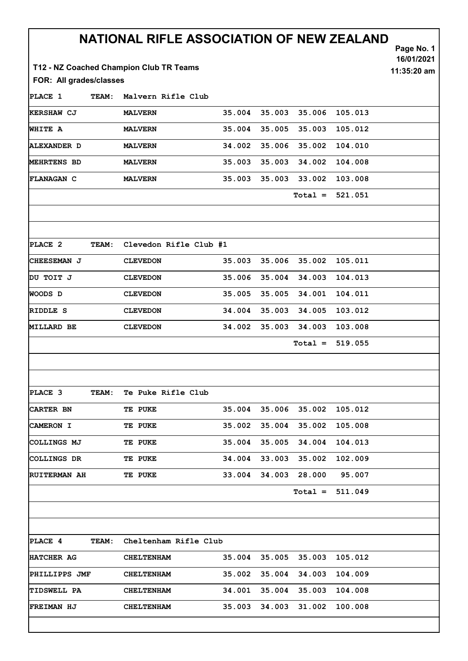|                         |              | NATIONAL RIFLE ASSOCIATION OF NEW ZEALAND<br>T12 - NZ Coached Champion Club TR Teams |                        |        |        |           |         | Page No. 1<br>16/01/2021<br>11:35:20 am |
|-------------------------|--------------|--------------------------------------------------------------------------------------|------------------------|--------|--------|-----------|---------|-----------------------------------------|
| FOR: All grades/classes |              |                                                                                      |                        |        |        |           |         |                                         |
| PLACE 1                 | <b>TEAM:</b> | Malvern Rifle Club                                                                   |                        |        |        |           |         |                                         |
| <b>KERSHAW CJ</b>       |              | <b>MALVERN</b>                                                                       |                        | 35.004 | 35.003 | 35.006    | 105.013 |                                         |
| <b>WHITE A</b>          |              | <b>MALVERN</b>                                                                       |                        | 35.004 | 35.005 | 35.003    | 105.012 |                                         |
| <b>ALEXANDER D</b>      |              | <b>MALVERN</b>                                                                       |                        | 34.002 | 35.006 | 35.002    | 104.010 |                                         |
| <b>MEHRTENS BD</b>      |              | <b>MALVERN</b>                                                                       |                        | 35.003 | 35.003 | 34.002    | 104.008 |                                         |
| <b>FLANAGAN C</b>       |              | <b>MALVERN</b>                                                                       |                        | 35.003 | 35.003 | 33.002    | 103.008 |                                         |
|                         |              |                                                                                      |                        |        |        | $Total =$ | 521.051 |                                         |
| PLACE 2                 | <b>TEAM:</b> |                                                                                      | Clevedon Rifle Club #1 |        |        |           |         |                                         |
| CHEESEMAN J             |              | <b>CLEVEDON</b>                                                                      |                        | 35.003 | 35.006 | 35.002    | 105.011 |                                         |
| DU TOIT J               |              | <b>CLEVEDON</b>                                                                      |                        | 35.006 | 35.004 | 34.003    | 104.013 |                                         |
| WOODS D                 |              | <b>CLEVEDON</b>                                                                      |                        | 35.005 | 35.005 | 34.001    | 104.011 |                                         |
| RIDDLE S                |              | <b>CLEVEDON</b>                                                                      |                        | 34.004 | 35.003 | 34.005    | 103.012 |                                         |
| <b>MILLARD BE</b>       |              | <b>CLEVEDON</b>                                                                      |                        | 34.002 | 35.003 | 34.003    | 103.008 |                                         |
|                         |              |                                                                                      |                        |        |        | $Total =$ | 519.055 |                                         |
| PLACE 3                 | TEAM:        | Te Puke Rifle Club                                                                   |                        |        |        |           |         |                                         |
| CARTER BN               |              | TE PUKE                                                                              |                        | 35.004 | 35.006 | 35.002    | 105.012 |                                         |
| CAMERON I               |              | TE PUKE                                                                              |                        | 35.002 | 35.004 | 35.002    | 105.008 |                                         |
| COLLINGS MJ             |              | TE PUKE                                                                              |                        | 35.004 | 35.005 | 34.004    | 104.013 |                                         |
| COLLINGS DR             |              | <b>TE PUKE</b>                                                                       |                        | 34.004 | 33.003 | 35.002    | 102.009 |                                         |
| <b>RUITERMAN AH</b>     |              | TE PUKE                                                                              |                        | 33.004 | 34.003 | 28.000    | 95.007  |                                         |
|                         |              |                                                                                      |                        |        |        | $Total =$ | 511.049 |                                         |
|                         |              |                                                                                      |                        |        |        |           |         |                                         |
| PLACE 4                 | TEAM:        | Cheltenham Rifle Club                                                                |                        |        |        |           |         |                                         |
| HATCHER AG              |              | <b>CHELTENHAM</b>                                                                    |                        | 35.004 | 35.005 | 35.003    | 105.012 |                                         |
| PHILLIPPS JMF           |              | <b>CHELTENHAM</b>                                                                    |                        | 35.002 | 35.004 | 34.003    | 104.009 |                                         |
| <b>TIDSWELL PA</b>      |              | <b>CHELTENHAM</b>                                                                    |                        | 34.001 | 35.004 | 35.003    | 104.008 |                                         |
| <b>FREIMAN HJ</b>       |              | <b>CHELTENHAM</b>                                                                    |                        | 35.003 | 34.003 | 31.002    | 100.008 |                                         |
|                         |              |                                                                                      |                        |        |        |           |         |                                         |

ľ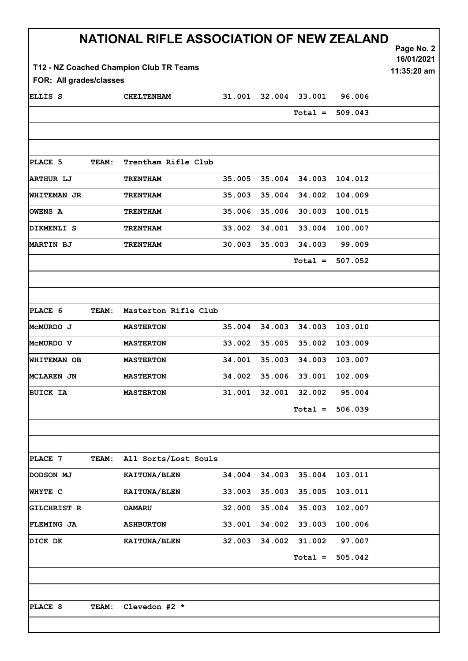|                                                                                   |       | NATIONAL RIFLE ASSOCIATION OF NEW ZEALAND |        |        |               |                   | Page No. 2<br>16/01/2021 |  |  |  |  |  |  |
|-----------------------------------------------------------------------------------|-------|-------------------------------------------|--------|--------|---------------|-------------------|--------------------------|--|--|--|--|--|--|
| T12 - NZ Coached Champion Club TR Teams<br>11:35:20 am<br>FOR: All grades/classes |       |                                           |        |        |               |                   |                          |  |  |  |  |  |  |
| ELLIS S                                                                           |       | <b>CHELTENHAM</b>                         | 31.001 |        | 32.004 33.001 | 96.006            |                          |  |  |  |  |  |  |
|                                                                                   |       |                                           |        |        | $Total =$     | 509.043           |                          |  |  |  |  |  |  |
|                                                                                   |       |                                           |        |        |               |                   |                          |  |  |  |  |  |  |
|                                                                                   |       |                                           |        |        |               |                   |                          |  |  |  |  |  |  |
| PLACE 5                                                                           | TEAM: | Trentham Rifle Club                       |        |        |               |                   |                          |  |  |  |  |  |  |
| <b>ARTHUR LJ</b>                                                                  |       | <b>TRENTHAM</b>                           | 35.005 | 35.004 | 34.003        | 104.012           |                          |  |  |  |  |  |  |
| <b>WHITEMAN JR</b>                                                                |       | <b>TRENTHAM</b>                           | 35.003 | 35.004 | 34.002        | 104.009           |                          |  |  |  |  |  |  |
| OWENS A                                                                           |       | <b>TRENTHAM</b>                           | 35.006 | 35.006 | 30.003        | 100.015           |                          |  |  |  |  |  |  |
| DIKMENLI S                                                                        |       | <b>TRENTHAM</b>                           | 33.002 | 34.001 | 33.004        | 100.007           |                          |  |  |  |  |  |  |
| MARTIN BJ                                                                         |       | <b>TRENTHAM</b>                           | 30.003 | 35.003 | 34.003        | 99.009            |                          |  |  |  |  |  |  |
|                                                                                   |       |                                           |        |        |               | $Total = 507.052$ |                          |  |  |  |  |  |  |
|                                                                                   |       |                                           |        |        |               |                   |                          |  |  |  |  |  |  |
| PLACE 6                                                                           | TEAM: | Masterton Rifle Club                      |        |        |               |                   |                          |  |  |  |  |  |  |
| MCMURDO J                                                                         |       | <b>MASTERTON</b>                          | 35.004 | 34.003 | 34.003        | 103.010           |                          |  |  |  |  |  |  |
| MCMURDO V                                                                         |       | <b>MASTERTON</b>                          | 33.002 | 35.005 | 35.002        | 103.009           |                          |  |  |  |  |  |  |
| <b>WHITEMAN OB</b>                                                                |       | <b>MASTERTON</b>                          | 34.001 | 35.003 | 34.003        | 103.007           |                          |  |  |  |  |  |  |
| MCLAREN JN                                                                        |       | <b>MASTERTON</b>                          | 34.002 | 35.006 | 33.001        | 102.009           |                          |  |  |  |  |  |  |
| <b>BUICK IA</b>                                                                   |       | <b>MASTERTON</b>                          | 31.001 | 32.001 | 32.002        | 95.004            |                          |  |  |  |  |  |  |
|                                                                                   |       |                                           |        |        | $Total =$     | 506.039           |                          |  |  |  |  |  |  |
|                                                                                   |       |                                           |        |        |               |                   |                          |  |  |  |  |  |  |
|                                                                                   |       |                                           |        |        |               |                   |                          |  |  |  |  |  |  |
| PLACE 7                                                                           | TEAM: | All Sorts/Lost Souls                      |        |        |               |                   |                          |  |  |  |  |  |  |
| DODSON MJ                                                                         |       | KAITUNA/BLEN                              | 34.004 | 34.003 | 35.004        | 103.011           |                          |  |  |  |  |  |  |
| WHYTE C                                                                           |       | KAITUNA/BLEN                              | 33.003 | 35.003 | 35.005        | 103.011           |                          |  |  |  |  |  |  |
| <b>GILCHRIST R</b>                                                                |       | <b>OAMARU</b>                             | 32.000 | 35.004 | 35.003        | 102.007           |                          |  |  |  |  |  |  |
| <b>FLEMING JA</b>                                                                 |       | <b>ASHBURTON</b>                          | 33.001 | 34.002 | 33.003        | 100.006           |                          |  |  |  |  |  |  |
| DICK DK                                                                           |       | KAITUNA/BLEN                              | 32.003 | 34.002 | 31.002        | 97.007            |                          |  |  |  |  |  |  |
|                                                                                   |       |                                           |        |        | $Total =$     | 505.042           |                          |  |  |  |  |  |  |
|                                                                                   |       |                                           |        |        |               |                   |                          |  |  |  |  |  |  |
| PLACE 8                                                                           | TEAM: | Clevedon #2 *                             |        |        |               |                   |                          |  |  |  |  |  |  |
|                                                                                   |       |                                           |        |        |               |                   |                          |  |  |  |  |  |  |